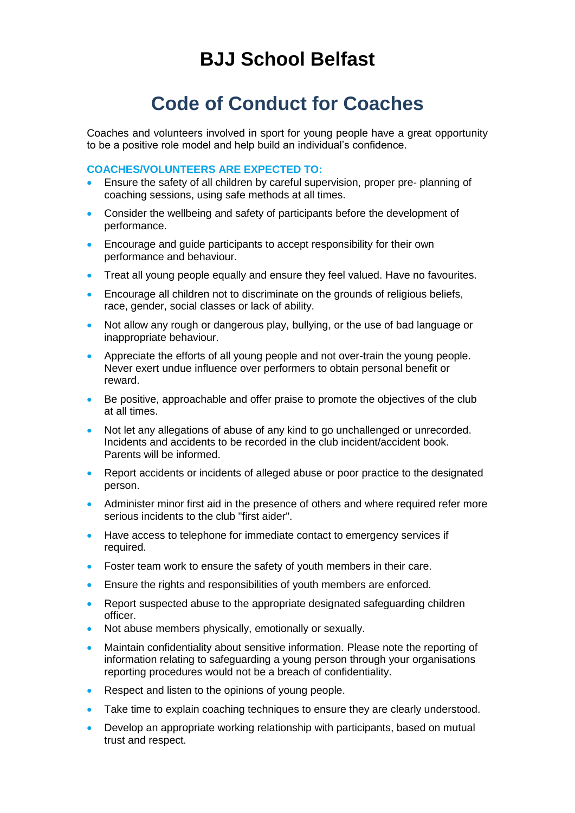## **BJJ School Belfast**

# **Code of Conduct for Coaches**

Coaches and volunteers involved in sport for young people have a great opportunity to be a positive role model and help build an individual's confidence.

#### **COACHES/VOLUNTEERS ARE EXPECTED TO:**

- Ensure the safety of all children by careful supervision, proper pre- planning of coaching sessions, using safe methods at all times.
- Consider the wellbeing and safety of participants before the development of performance.
- **Encourage and guide participants to accept responsibility for their own** performance and behaviour.
- Treat all young people equally and ensure they feel valued. Have no favourites.
- Encourage all children not to discriminate on the grounds of religious beliefs, race, gender, social classes or lack of ability.
- Not allow any rough or dangerous play, bullying, or the use of bad language or inappropriate behaviour.
- Appreciate the efforts of all young people and not over-train the young people. Never exert undue influence over performers to obtain personal benefit or reward.
- Be positive, approachable and offer praise to promote the objectives of the club at all times.
- Not let any allegations of abuse of any kind to go unchallenged or unrecorded. Incidents and accidents to be recorded in the club incident/accident book. Parents will be informed.
- Report accidents or incidents of alleged abuse or poor practice to the designated person.
- Administer minor first aid in the presence of others and where required refer more serious incidents to the club "first aider".
- Have access to telephone for immediate contact to emergency services if required.
- Foster team work to ensure the safety of youth members in their care.
- Ensure the rights and responsibilities of youth members are enforced.
- Report suspected abuse to the appropriate designated safeguarding children officer.
- Not abuse members physically, emotionally or sexually.
- Maintain confidentiality about sensitive information. Please note the reporting of information relating to safeguarding a young person through your organisations reporting procedures would not be a breach of confidentiality.
- Respect and listen to the opinions of young people.
- Take time to explain coaching techniques to ensure they are clearly understood.
- Develop an appropriate working relationship with participants, based on mutual trust and respect.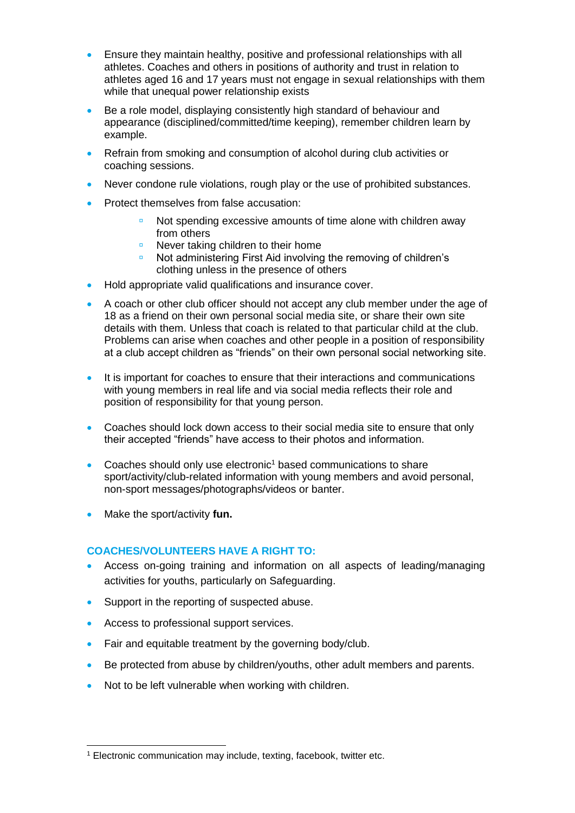- **Ensure they maintain healthy, positive and professional relationships with all** athletes. Coaches and others in positions of authority and trust in relation to athletes aged 16 and 17 years must not engage in sexual relationships with them while that unequal power relationship exists
- Be a role model, displaying consistently high standard of behaviour and appearance (disciplined/committed/time keeping), remember children learn by example.
- Refrain from smoking and consumption of alcohol during club activities or coaching sessions.
- Never condone rule violations, rough play or the use of prohibited substances.
- Protect themselves from false accusation:
	- Not spending excessive amounts of time alone with children away from others
	- Never taking children to their home
	- **Not administering First Aid involving the removing of children's** clothing unless in the presence of others
- Hold appropriate valid qualifications and insurance cover.
- A coach or other club officer should not accept any club member under the age of 18 as a friend on their own personal social media site, or share their own site details with them. Unless that coach is related to that particular child at the club. Problems can arise when coaches and other people in a position of responsibility at a club accept children as "friends" on their own personal social networking site.
- It is important for coaches to ensure that their interactions and communications with young members in real life and via social media reflects their role and position of responsibility for that young person.
- Coaches should lock down access to their social media site to ensure that only their accepted "friends" have access to their photos and information.
- Coaches should only use electronic<sup>1</sup> based communications to share sport/activity/club-related information with young members and avoid personal, non-sport messages/photographs/videos or banter.
- Make the sport/activity **fun.**

### **COACHES/VOLUNTEERS HAVE A RIGHT TO:**

- Access on-going training and information on all aspects of leading/managing activities for youths, particularly on Safeguarding.
- Support in the reporting of suspected abuse.
- Access to professional support services.
- Fair and equitable treatment by the governing body/club.
- Be protected from abuse by children/youths, other adult members and parents.
- Not to be left vulnerable when working with children.

<sup>-</sup><sup>1</sup> Electronic communication may include, texting, facebook, twitter etc.